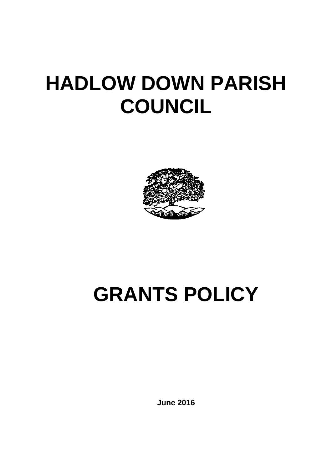## **HADLOW DOWN PARISH COUNCIL**



## **GRANTS POLICY**

**June 2016**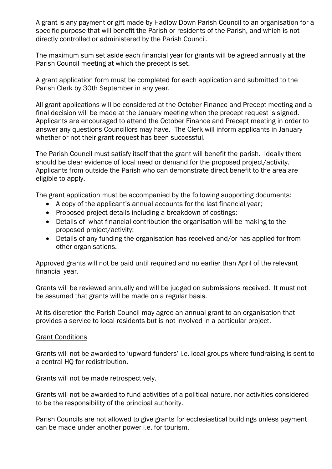A grant is any payment or gift made by Hadlow Down Parish Council to an organisation for a specific purpose that will benefit the Parish or residents of the Parish, and which is not directly controlled or administered by the Parish Council.

The maximum sum set aside each financial year for grants will be agreed annually at the Parish Council meeting at which the precept is set.

A grant application form must be completed for each application and submitted to the Parish Clerk by 30th September in any year.

All grant applications will be considered at the October Finance and Precept meeting and a final decision will be made at the January meeting when the precept request is signed. Applicants are encouraged to attend the October Finance and Precept meeting in order to answer any questions Councillors may have. The Clerk will inform applicants in January whether or not their grant request has been successful.

The Parish Council must satisfy itself that the grant will benefit the parish. Ideally there should be clear evidence of local need or demand for the proposed project/activity. Applicants from outside the Parish who can demonstrate direct benefit to the area are eligible to apply.

The grant application must be accompanied by the following supporting documents:

- A copy of the applicant's annual accounts for the last financial year;
- Proposed project details including a breakdown of costings;
- Details of what financial contribution the organisation will be making to the proposed project/activity;
- Details of any funding the organisation has received and/or has applied for from other organisations.

Approved grants will not be paid until required and no earlier than April of the relevant financial year.

Grants will be reviewed annually and will be judged on submissions received. It must not be assumed that grants will be made on a regular basis.

At its discretion the Parish Council may agree an annual grant to an organisation that provides a service to local residents but is not involved in a particular project.

## Grant Conditions

Grants will not be awarded to 'upward funders' i.e. local groups where fundraising is sent to a central HQ for redistribution.

Grants will not be made retrospectively.

Grants will not be awarded to fund activities of a political nature, nor activities considered to be the responsibility of the principal authority.

Parish Councils are not allowed to give grants for ecclesiastical buildings unless payment can be made under another power i.e. for tourism.